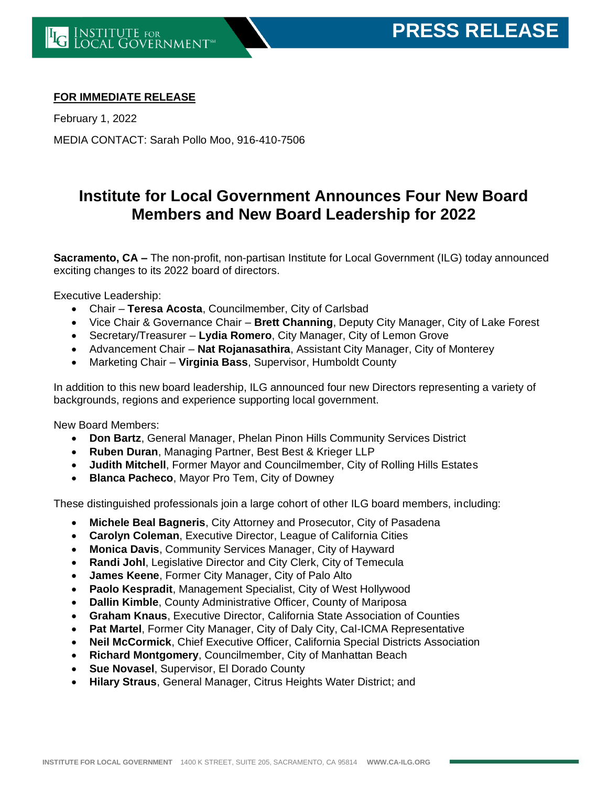## **FOR IMMEDIATE RELEASE**

February 1, 2022 MEDIA CONTACT: Sarah Pollo Moo, 916-410-7506

## **Institute for Local Government Announces Four New Board Members and New Board Leadership for 2022**

**Sacramento, CA –** The non-profit, non-partisan Institute for Local Government (ILG) today announced exciting changes to its 2022 board of directors.

Executive Leadership:

- Chair **Teresa Acosta**, Councilmember, City of Carlsbad
- Vice Chair & Governance Chair **Brett Channing**, Deputy City Manager, City of Lake Forest
- Secretary/Treasurer **Lydia Romero**, City Manager, City of Lemon Grove
- Advancement Chair **Nat Rojanasathira**, Assistant City Manager, City of Monterey
- Marketing Chair **Virginia Bass**, Supervisor, Humboldt County

In addition to this new board leadership, ILG announced four new Directors representing a variety of backgrounds, regions and experience supporting local government.

New Board Members:

- **Don Bartz**, General Manager, Phelan Pinon Hills Community Services District
- **Ruben Duran**, Managing Partner, Best Best & Krieger LLP
- **Judith Mitchell**, Former Mayor and Councilmember, City of Rolling Hills Estates
- **Blanca Pacheco**, Mayor Pro Tem, City of Downey

These distinguished professionals join a large cohort of other ILG board members, including:

- **Michele Beal Bagneris**, City Attorney and Prosecutor, City of Pasadena
- **Carolyn Coleman**, Executive Director, League of California Cities
- **Monica Davis**, Community Services Manager, City of Hayward
- **Randi Johl**, Legislative Director and City Clerk, City of Temecula
- **James Keene**, Former City Manager, City of Palo Alto
- **Paolo Kespradit**, Management Specialist, City of West Hollywood
- **Dallin Kimble**, County Administrative Officer, County of Mariposa
- **Graham Knaus**, Executive Director, California State Association of Counties
- **Pat Martel**, Former City Manager, City of Daly City, Cal-ICMA Representative
- **Neil McCormick**, Chief Executive Officer, California Special Districts Association
- **Richard Montgomery**, Councilmember, City of Manhattan Beach
- **Sue Novasel**, Supervisor, El Dorado County
- **Hilary Straus**, General Manager, Citrus Heights Water District; and